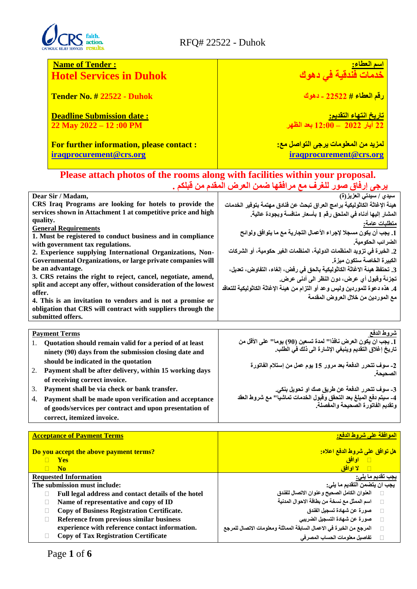

# Faith.<br>action.<br>results. RFQ# 22522 - Duhok

| <b>Name of Tender:</b>                                                                                                                           |                                                                                                                          |  |  |
|--------------------------------------------------------------------------------------------------------------------------------------------------|--------------------------------------------------------------------------------------------------------------------------|--|--|
| <b>Hotel Services in Duhok</b>                                                                                                                   | <mark>اسم العطاء:</mark><br>خدمات فُنْدقية في دهوك                                                                       |  |  |
| <b>Tender No. # 22522 - Duhok</b>                                                                                                                | <u>رقم العطاء # 22522 - دهوك</u>                                                                                         |  |  |
| <b>Deadline Submission date:</b>                                                                                                                 |                                                                                                                          |  |  |
| 22 May 2022 - 12:00 PM                                                                                                                           | <mark>تاريخ انتهاء التقديم<u>:</u><br/>22 آيار 2022 – 12:00</mark> بعد الظهر                                             |  |  |
|                                                                                                                                                  |                                                                                                                          |  |  |
| <b>For further information, please contact:</b>                                                                                                  | <mark>لمزيد من المعلومات يرجى التواصل مع:</mark>                                                                         |  |  |
| iraqprocurement@crs.org                                                                                                                          | iraqprocurement@crs.org                                                                                                  |  |  |
|                                                                                                                                                  |                                                                                                                          |  |  |
|                                                                                                                                                  | Please attach photos of the rooms along with facilities within your proposal.                                            |  |  |
|                                                                                                                                                  | <u>يرجى إرفاق صور للغرف مع مرافقها ضمن العرض المقدم من قبلكم .</u>                                                       |  |  |
| Dear Sir / Madam,                                                                                                                                |                                                                                                                          |  |  |
| CRS Iraq Programs are looking for hotels to provide the                                                                                          | هيئة الإغاثة الكاثوليكية برامج العراق تبحث عن فنادق مهتمة بتوفير الخدمات                                                 |  |  |
| services shown in Attachment 1 at competitive price and high                                                                                     | المشار إليها أدناه في الملحق رقم 1 بأسعار منافسة وبجودة عالية.                                                           |  |  |
| quality.                                                                                                                                         | <u>متطلبات عامة:</u>                                                                                                     |  |  |
| <b>General Requirements</b><br>1. Must be registered to conduct business and in compliance                                                       | 1. يجب أن يكون مسجلا لإجراء الأعمال التجارية مع ما يتوافق ولوائح                                                         |  |  |
| with government tax regulations.                                                                                                                 | الضرائب الحكومية.                                                                                                        |  |  |
| 2. Experience supplying International Organizations, Non-                                                                                        | 2. الخبرة في تزويد المنظمات الدولية، المنظمات الغير حكومية، أو الشركات                                                   |  |  |
| Governmental Organizations, or large private companies will                                                                                      | الكبيرة الخاصة ستكون ميزة.                                                                                               |  |  |
| be an advantage.                                                                                                                                 | 3. تحتفظ هيئة الاغاثة الكاثوليكية بالحق في رفض، إلغاء، التفاوض، تعديل،                                                   |  |  |
| 3. CRS retains the right to reject, cancel, negotiate, amend,<br>split and accept any offer, without consideration of the lowest                 | تجزئة وقبول أي عرض، دون النظر الى أدنى عرض.                                                                              |  |  |
| offer.                                                                                                                                           | 4. هذه دعوة للموردين وليس وعد أو التزام من هيئة الإغاثة الكاثوليكية للتعاقد                                              |  |  |
| 4. This is an invitation to vendors and is not a promise or<br>obligation that CRS will contract with suppliers through the<br>submitted offers. | مع الموردين من خلال العروض المقدمة                                                                                       |  |  |
|                                                                                                                                                  |                                                                                                                          |  |  |
| <b>Payment Terms</b>                                                                                                                             | شروط الدفع                                                                                                               |  |  |
| 1.<br>Quotation should remain valid for a period of at least                                                                                     | 1. يجب ان يكون العرض نافذا'' لمدة تسعين (90) يوما'' على الأقل من<br>تاريخ إغلاق التقديم وينبغي الإشارة الى ذلك في الطلب. |  |  |
| ninety (90) days from the submission closing date and                                                                                            |                                                                                                                          |  |  |
| should be indicated in the quotation                                                                                                             | 2- سوف تتحرر الدفعة بعد مرور 15 يوم عمل من إستلام الفاتورة                                                               |  |  |
| 2.<br>Payment shall be after delivery, within 15 working days                                                                                    | الصحيحة.                                                                                                                 |  |  |
| of receiving correct invoice.                                                                                                                    |                                                                                                                          |  |  |
| 3.<br>Payment shall be via check or bank transfer.                                                                                               | 3- سوف تتحرر الدفعة عن طريق صك او تحويل بنكي.<br>4- سيتم دفع المبلغ بعد التحقق وقبول الخدمات تماشياً'' مع شروط العقد     |  |  |
| Payment shall be made upon verification and acceptance<br>4.<br>of goods/services per contract and upon presentation of                          | وتقديم الفاتورة الصحيحة والمفصلة.                                                                                        |  |  |
| correct, itemized invoice.                                                                                                                       |                                                                                                                          |  |  |
|                                                                                                                                                  |                                                                                                                          |  |  |
| <b>Acceptance of Payment Terms</b>                                                                                                               | الموافقة على شروط الدفع:                                                                                                 |  |  |
|                                                                                                                                                  |                                                                                                                          |  |  |
| Do you accept the above payment terms?                                                                                                           | هل توافق على شروط الدفع اعلاه:                                                                                           |  |  |
| Yes<br>n.<br>$\Box$<br><b>No</b>                                                                                                                 | <mark>⊟ اوافق</mark><br><mark>⊟ لا اوافق</mark>                                                                          |  |  |
| <b>Requested Information</b>                                                                                                                     | يجب تقديم ما <u>يل</u> ى:                                                                                                |  |  |
| The submission must include:                                                                                                                     | <del>يجب ان يتص</del> من التقديم ما يلي:                                                                                 |  |  |
| Full legal address and contact details of the hotel<br>П                                                                                         | العنوان الكامل الصحيح وعنوان الاتصال للفندق                                                                              |  |  |
| Name of representative and copy of ID<br>$\Box$                                                                                                  | اسم الممثل مع نسخة من بطاقة الاحوال المدنية<br>$\Box$                                                                    |  |  |

 **صورة عن شهادة تسجيل الفندق صورة عن شهادة التسجيل الضريبي**

**تفاصيل معلومات الحساب المصرفي**

**المرجع من الخبرة في االعمال السابقة المماثلة ومعلومات االتصال للمرجع**

- **Copy of Business Registration Certificate.**
- **Reference from previous similar business**
- **experience with reference contact information.**
- **Copy of Tax Registration Certificate**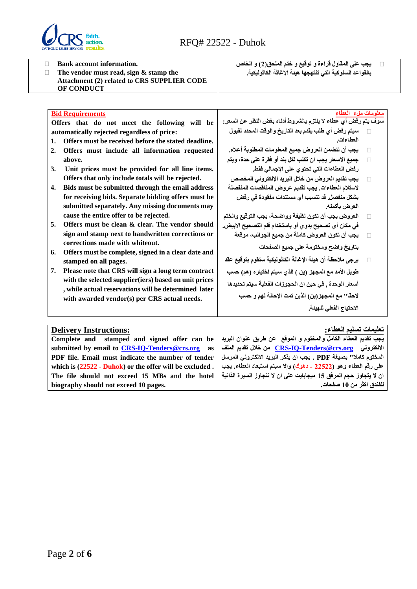

**Bank account information.**

 **The vendor must read, sign & stamp the Attachment (2) related to CRS SUPPLIER CODE OF CONDUCT**

 **يجب على المقاول قراءة و توقيع و ختم الملحق)2( و الخاص بالقواعد السلوكية التي تنتهجها هيئة اإلغاثة الكاثوليكية.** 

| <b>Bid Requirements</b>                                                                              | معلومات ملء العطاء                                             |  |  |
|------------------------------------------------------------------------------------------------------|----------------------------------------------------------------|--|--|
| Offers that do not meet the following will be                                                        | سوف يتم رفض أي عطاء لا يلتزم بالشروط أدناه بغض النظر عن السعر: |  |  |
| automatically rejected regardless of price:                                                          | سيتم رفض أي طلب يقدم بعد التاريخ والوقت المحدد لقبول           |  |  |
| Offers must be received before the stated deadline.<br>1.                                            | العطاءات                                                       |  |  |
| $\overline{2}$ .<br>Offers must include all information requested                                    | يجب أن تتضمن العروض جميع المعلومات المطلوبة أعلاه.             |  |  |
| above.                                                                                               | جميع الاسعار يجب ان تكتب لكل بند أو فقرة على حدة، ويتم         |  |  |
| 3.<br>Unit prices must be provided for all line items.                                               | رفض العطاءات التي تحتوى على الإجمالي فقط.                      |  |  |
| Offers that only include totals will be rejected.                                                    | يجب تقديم العروض من خلال البريد الإلكتروني المخصص              |  |  |
| Bids must be submitted through the email address<br>4.                                               | لاستلام العطاءات. يجب تقديم عروض المناقصات المنفصلة            |  |  |
| for receiving bids. Separate bidding offers must be                                                  | بِشكل منفصل. قد تتسبب أي مستندات مفقودة في رفض                 |  |  |
| submitted separately. Any missing documents may                                                      | العرض بأكمله.                                                  |  |  |
| cause the entire offer to be rejected.                                                               | العروض يجب أن تكون نظيفة وواضحة، يجب التوقيع والختم            |  |  |
| Offers must be clean & clear. The vendor should<br>5.                                                | في مكان أي تصحيح يدو ي أو باستخدام قلم التصحيح الابيض.         |  |  |
| sign and stamp next to handwritten corrections or                                                    | يجب أن تكون العروض كاملة من جميع الجوانب، موقعة                |  |  |
| corrections made with whiteout.<br>Offers must be complete, signed in a clear date and<br>6.         | بتاريخ واضح ومختومة على جميع الصفحات                           |  |  |
| stamped on all pages.                                                                                | يرجى ملاحظة أن هيئة الإغاثة الكاثوليكية ستقوم بتوقيع عقد       |  |  |
| Please note that CRS will sign a long term contract<br>7.                                            | طويل الأمد مع المجهز (ين ) الذي سيتم اختياره (هم) حسب          |  |  |
| with the selected supplier (iers) based on unit prices                                               | أسعار الوحدة , في حين ان الحجوزات الفعلية سيتم تحديدها         |  |  |
| , while actual reservations will be determined later<br>with awarded vendor(s) per CRS actual needs. | لاحقا" مع المجهز (ين) الذين تمت الإحالة لهم و حسب              |  |  |
|                                                                                                      | الاحتياج الفعلى للهيئة.                                        |  |  |
|                                                                                                      |                                                                |  |  |
| تعليمات تسليم العطاء.<br><b>Delivery Instructions:</b>                                               |                                                                |  |  |

| <b>Delivery Instructions:</b>                                                                                                          | تعليمات تسليم العطاء:                                               |  |  |
|----------------------------------------------------------------------------------------------------------------------------------------|---------------------------------------------------------------------|--|--|
| يجب تقديم العطاء الكامل والمختوم و الموقع ً عن طريق عنوان البريد   Complete and stamped and signed offer can be                        |                                                                     |  |  |
| الالكتروني <u>CRS-IO-Tenders@crs.org</u> من خلال تقديم العلف   submitted by email to <u>CRS-IO-Tenders@crs.org</u> من خلال تقديم العلف |                                                                     |  |  |
| المختوم كاملا" بصيغة PDF . يجب ان يذكر البريد الالكتروني المرسل   PDF file. Email must indicate the number of tender                   |                                                                     |  |  |
| which is $(22522 - Dubok)$ or the offer will be excluded.                                                                              | على رقم العطاء وهو (22522 ـ دهوك) وإلا سيتم استبعاد العطاء. يجب     |  |  |
| The file should not exceed 15 MBs and the hotel                                                                                        | ان لا يتجاوز حجم المرفق 15 ميجابايت على ان لا تتجاوز السيرة الذاتية |  |  |
| biography should not exceed 10 pages.                                                                                                  | للفندق اكثر من 10 صفحات.                                            |  |  |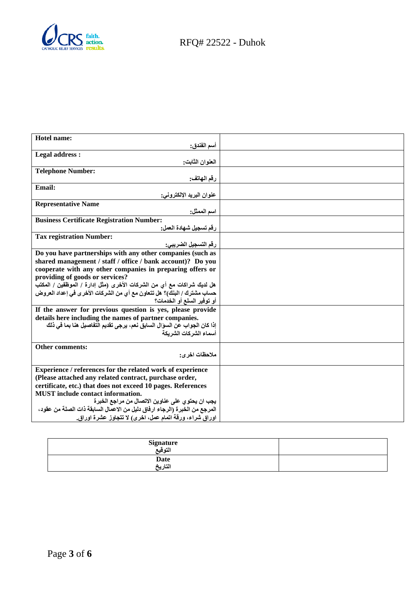

| أسم الفندق:<br>Legal address :<br>العنوان الثابت:<br><b>Telephone Number:</b><br>رقم الهاتف:<br><b>Email:</b><br>عنوان البريد الإلكتروني:<br><b>Representative Name</b><br>اسم الممثل:<br><b>Business Certificate Registration Number:</b><br>رقم تسجيل شهادة العمل:<br><b>Tax registration Number:</b><br>رقم التسجيل الضريبي:<br>Do you have partnerships with any other companies (such as<br>shared management / staff / office / bank account)? Do you<br>cooperate with any other companies in preparing offers or |
|--------------------------------------------------------------------------------------------------------------------------------------------------------------------------------------------------------------------------------------------------------------------------------------------------------------------------------------------------------------------------------------------------------------------------------------------------------------------------------------------------------------------------|
|                                                                                                                                                                                                                                                                                                                                                                                                                                                                                                                          |
|                                                                                                                                                                                                                                                                                                                                                                                                                                                                                                                          |
|                                                                                                                                                                                                                                                                                                                                                                                                                                                                                                                          |
|                                                                                                                                                                                                                                                                                                                                                                                                                                                                                                                          |
|                                                                                                                                                                                                                                                                                                                                                                                                                                                                                                                          |
|                                                                                                                                                                                                                                                                                                                                                                                                                                                                                                                          |
|                                                                                                                                                                                                                                                                                                                                                                                                                                                                                                                          |
|                                                                                                                                                                                                                                                                                                                                                                                                                                                                                                                          |
|                                                                                                                                                                                                                                                                                                                                                                                                                                                                                                                          |
|                                                                                                                                                                                                                                                                                                                                                                                                                                                                                                                          |
|                                                                                                                                                                                                                                                                                                                                                                                                                                                                                                                          |
|                                                                                                                                                                                                                                                                                                                                                                                                                                                                                                                          |
|                                                                                                                                                                                                                                                                                                                                                                                                                                                                                                                          |
|                                                                                                                                                                                                                                                                                                                                                                                                                                                                                                                          |
|                                                                                                                                                                                                                                                                                                                                                                                                                                                                                                                          |
|                                                                                                                                                                                                                                                                                                                                                                                                                                                                                                                          |
| providing of goods or services?                                                                                                                                                                                                                                                                                                                                                                                                                                                                                          |
| هل لديك شراكات مع أي من الشركات الأخرى (مثل إدارة / الموظفين / المكتب                                                                                                                                                                                                                                                                                                                                                                                                                                                    |
| حساب مشترك / البنك)؟ هل تتعاون مع أي من الشركات الأخر ي في إعداد العروض                                                                                                                                                                                                                                                                                                                                                                                                                                                  |
| أو توفير السلع أو الخدمات؟                                                                                                                                                                                                                                                                                                                                                                                                                                                                                               |
| If the answer for previous question is yes, please provide                                                                                                                                                                                                                                                                                                                                                                                                                                                               |
| details here including the names of partner companies.                                                                                                                                                                                                                                                                                                                                                                                                                                                                   |
| إذا كان الجواب عن السوّال السابق نعم، يرجى تقديم التفاصيل هنا بما في ذلك                                                                                                                                                                                                                                                                                                                                                                                                                                                 |
| أسماع الشركات الشريكة                                                                                                                                                                                                                                                                                                                                                                                                                                                                                                    |
| <b>Other comments:</b>                                                                                                                                                                                                                                                                                                                                                                                                                                                                                                   |
| ملاحظات اخر ي:                                                                                                                                                                                                                                                                                                                                                                                                                                                                                                           |
|                                                                                                                                                                                                                                                                                                                                                                                                                                                                                                                          |
| Experience / references for the related work of experience                                                                                                                                                                                                                                                                                                                                                                                                                                                               |
| (Please attached any related contract, purchase order,                                                                                                                                                                                                                                                                                                                                                                                                                                                                   |
| certificate, etc.) that does not exceed 10 pages. References                                                                                                                                                                                                                                                                                                                                                                                                                                                             |
| <b>MUST</b> include contact information.                                                                                                                                                                                                                                                                                                                                                                                                                                                                                 |
| يجب ان يحتو ي على عناوين الاتصال من مراجع الخبرة                                                                                                                                                                                                                                                                                                                                                                                                                                                                         |
| المرجع من الخبرة (الرجاء ارفاق دليل من الاعمال السابقة ذات الصلة من عقود،                                                                                                                                                                                                                                                                                                                                                                                                                                                |
| اوراق شراء، ورقة اتمام عمل، اخرى) لا تتجاوز عشرة اوراق.                                                                                                                                                                                                                                                                                                                                                                                                                                                                  |

| Signature<br>الته قيع |  |
|-----------------------|--|
| Date<br>التاريخ       |  |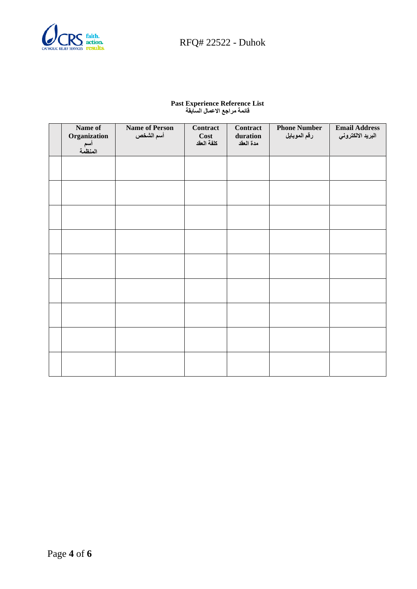

# $\sum_{\text{REWICES}} \frac{\text{faith.}}{\text{results.}}$  RFQ# 22522 - Duhok

#### **Past Experience Reference List قائمة مراجع االعمال السابقة**

| Name of<br>Organization<br>أسم<br>المنظمة | <b>Name of Person</b><br>أسم الشخص | Contract<br>Cost<br>كلفة العقد | Contract<br>duration<br>مدة العقد | <b>Phone Number</b><br>رقم الموبايل | <b>Email Address</b><br>البريد الالكتروني |
|-------------------------------------------|------------------------------------|--------------------------------|-----------------------------------|-------------------------------------|-------------------------------------------|
|                                           |                                    |                                |                                   |                                     |                                           |
|                                           |                                    |                                |                                   |                                     |                                           |
|                                           |                                    |                                |                                   |                                     |                                           |
|                                           |                                    |                                |                                   |                                     |                                           |
|                                           |                                    |                                |                                   |                                     |                                           |
|                                           |                                    |                                |                                   |                                     |                                           |
|                                           |                                    |                                |                                   |                                     |                                           |
|                                           |                                    |                                |                                   |                                     |                                           |
|                                           |                                    |                                |                                   |                                     |                                           |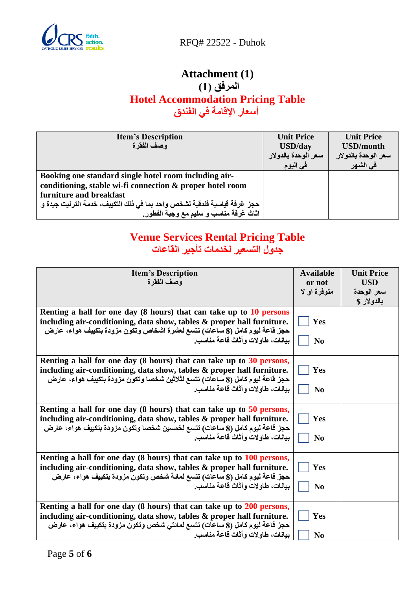

<u>faith.</u><br>action. RFQ# 22522 - Duhok

# **Attachment (1) المرفق )1( Hotel Accommodation Pricing Table أسعار اإلقامة في الفندق**

| <b>Item's Description</b>                                                | <b>Unit Price</b>   | <b>Unit Price</b>   |
|--------------------------------------------------------------------------|---------------------|---------------------|
| وصف الفقرة                                                               | <b>USD/day</b>      | <b>USD/month</b>    |
|                                                                          | سعر الوحدة بالدولار | سعر الوحدة بالدولار |
|                                                                          | في اليوم            | في الشهر            |
| Booking one standard single hotel room including air-                    |                     |                     |
| conditioning, stable wi-fi connection & proper hotel room                |                     |                     |
| furniture and breakfast                                                  |                     |                     |
| حجز غرفة فياسية فندقية لشخص واحد بما في ذلك التكييف، خدمة انترنيت جيدة و |                     |                     |
| اثَاتٌ غرفة مناسب و سليم مع وجبة الفطور.                                 |                     |                     |

# **Venue Services Rental Pricing Table جدول التسعير لخدمات تأجير القاعات**

| <b>Item's Description</b><br>وصف الفقرة                                                                                                                                                                                                                               | <b>Available</b><br>or not<br>متوفرة او لا | <b>Unit Price</b><br><b>USD</b><br>سعر الوحدة<br>بالدولار \$ |
|-----------------------------------------------------------------------------------------------------------------------------------------------------------------------------------------------------------------------------------------------------------------------|--------------------------------------------|--------------------------------------------------------------|
| Renting a hall for one day (8 hours) that can take up to 10 persons<br>including air-conditioning, data show, tables & proper hall furniture.<br>حجز قاعة ليوم كامل (8 ساعات) تتسع لعشرة اشخاص وتكون مزودة بتكييف هواء، عارض<br>بيانات، طاوٍ لات و أثاث قاعة مناسب.   | Yes<br>N <sub>0</sub>                      |                                                              |
| Renting a hall for one day (8 hours) that can take up to 30 persons,<br>including air-conditioning, data show, tables & proper hall furniture.<br>حجز قاعة ليوم كامل (8 ساعات) تتسع لثلاثين شخصا وتكون مزودة بتكييف هواء، عارض<br>بيانات، طاوٍ لات و أثاث قاعة مناسب. | Yes<br>N <sub>0</sub>                      |                                                              |
| Renting a hall for one day (8 hours) that can take up to 50 persons,<br>including air-conditioning, data show, tables & proper hall furniture.<br>حجز قاعة ليوم كامل (8 ساعات) تتسع لخمسين شخصا وتكون مزودة بتكييف هواء، عارض<br>بيانات، طاوٍ لات و أثاث قاعة مناسب.  | Yes<br>N <sub>0</sub>                      |                                                              |
| Renting a hall for one day (8 hours) that can take up to 100 persons,<br>including air-conditioning, data show, tables & proper hall furniture.<br>حجز قاعة ليوم كامل (8 ساعات) تتسع لمائة شخص وتكون مزودة بتكييف هواء، عارض<br>بيانات، طاولات و أثاث قاعة مناسب.     | Yes<br>N <sub>0</sub>                      |                                                              |
| Renting a hall for one day (8 hours) that can take up to 200 persons,<br>including air-conditioning, data show, tables & proper hall furniture.<br>حجز قاعة ليوم كامل (8 ساعات) تتسع لمائتي شخص وتكون مزودة بتكييف هواء، عارض<br>بيانات، طاولات وأثاث قاعة مناسب.     | Yes<br>N <sub>0</sub>                      |                                                              |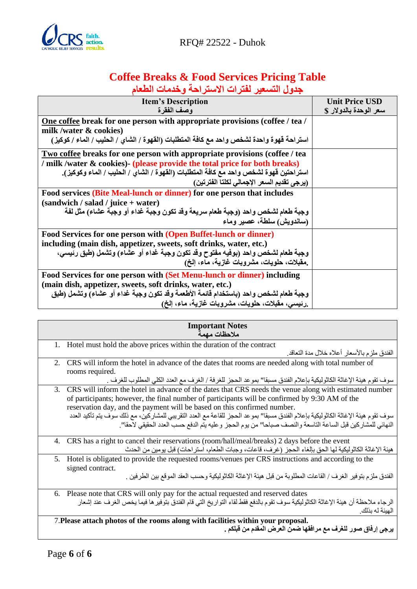

# **Coffee Breaks & Food Services Pricing Table جدول التسعير لفترات االستراحة وخدمات الطعام**

| <b>Item's Description</b>                                                                | <b>Unit Price USD</b>  |
|------------------------------------------------------------------------------------------|------------------------|
| وصف الفقرة                                                                               | سعر الوحدة بالدولار \$ |
| One coffee break for one person with appropriate provisions (coffee / tea /              |                        |
| milk /water $\&$ cookies)                                                                |                        |
| استراحة قهوة واحدة لشخص واحد مع كافة المتطلبات (القهوة / الشاى / الحليب / الماء / كوكيز) |                        |
| Two coffee breaks for one person with appropriate provisions (coffee / tea               |                        |
| milk /water & cookies) (please provide the total price for both breaks)                  |                        |
| استراحتين قهوة لشخص واحد مع كافة المتطلبات (القهوة / الشاي / الحليب / الماء وكوكيز).     |                        |
| (يرجى تقديم السعر الإجمالي لكلتا الفترتين)                                               |                        |
| Food services (Bite Meal-lunch or dinner) for one person that includes                   |                        |
| $(sandwich / salad / juice + water)$                                                     |                        |
| وجبة طعام لشخص واحد (وجبة طعام سريعة وقد تكون وجبة غداء أو وجبّة عشاء) مثل لفة           |                        |
| (ساندويش) سلطة، عصير وماء                                                                |                        |
| Food Services for one person with (Open Buffet-lunch or dinner)                          |                        |
| including (main dish, appetizer, sweets, soft drinks, water, etc.)                       |                        |
| وجبة طعام لشخص واحد (بوفيه مفتوح وقد تكون وجبة غداء أو عشاء) وتشمل (طبق رئيسي،           |                        |
| .مقبلات، حلويات، مشروبات غازية، ماء، إلخ)                                                |                        |
| Food Services for one person with (Set Menu-lunch or dinner) including                   |                        |
| (main dish, appetizer, sweets, soft drinks, water, etc.)                                 |                        |
| وجبة طعام لشخص واحد (باستخدام قائمة الأطعمة وقد تكون وجبة غداء أو عشاء) وتشمل (طبق       |                        |
| رنيسي، مُقبلات، حلويات، مشروبات غازية، ماء، إلخ)                                         |                        |

| <b>Important Notes</b><br>ملاحظات مهمة                                                                                                                                                                                                                                                                                                                                                                                          |
|---------------------------------------------------------------------------------------------------------------------------------------------------------------------------------------------------------------------------------------------------------------------------------------------------------------------------------------------------------------------------------------------------------------------------------|
| 1. Hotel must hold the above prices within the duration of the contract                                                                                                                                                                                                                                                                                                                                                         |
| الفندق ملز م بالأسعار  أعلاه خلال مدة التعاقد.                                                                                                                                                                                                                                                                                                                                                                                  |
| 2. CRS will inform the hotel in advance of the dates that rooms are needed along with total number of                                                                                                                                                                                                                                                                                                                           |
| rooms required.                                                                                                                                                                                                                                                                                                                                                                                                                 |
| سوف تقوم هيئة الإغاثة الكاثوليكية بإعلام الفندق مسبقا" بموعد الحجز للغرفة / الغرف مع العدد الكلي المطلوب للغرف .                                                                                                                                                                                                                                                                                                                |
| CRS will inform the hotel in advance of the dates that CRS needs the venue along with estimated number<br>3.<br>of participants; however, the final number of participants will be confirmed by 9:30 AM of the<br>reservation day, and the payment will be based on this confirmed number.<br>سوف تقوم هيئة الإغاثة الكاثوليكية بإعلام الفندق مسبقا" بموعد الحجز للقاعة مع العدد التقريبي للمشاركين، مع ذلك سوف يتم تأكيد العدد |
| النهائي للمشاركين قبل الساعة التاسعة والنصف صباحا" من يوم الحجز وعليه يتم الدفع حسب العدد الحقيقي لاحقا".                                                                                                                                                                                                                                                                                                                       |
| CRS has a right to cancel their reservations (room/hall/meal/breaks) 2 days before the event<br>4.<br>هيئة الإغاثة الكاثوليكية لها الحق بإلغاء الحجز (غرف، قاعات، وجبات الطعام، استراحات) قبل يومين من الحدث                                                                                                                                                                                                                    |
| Hotel is obligated to provide the requested rooms/venues per CRS instructions and according to the<br>5.<br>signed contract.                                                                                                                                                                                                                                                                                                    |
| الفندق ملزم بتوفير الغرف / القاعات المطلوبة من قبل هيئة الإغاثة الكاثوليكية وحسب العقد الموقع بين الطرفين .                                                                                                                                                                                                                                                                                                                     |
| 6. Please note that CRS will only pay for the actual requested and reserved dates                                                                                                                                                                                                                                                                                                                                               |
| الرجاء ملاحظة أن هيئة الإغاثة الكاثوليكية سوف تقوم بالدفع فقط لقاء التواريخ التي قام الفندق بتوفير ها فيما يخص الغرف عند إشعار<br>الهيئة له بذلك.                                                                                                                                                                                                                                                                               |
| 7. Please attach photos of the rooms along with facilities within your proposal.<br>يرجى إرفاق صور للغرف مع مرافقها ضمن العرض المقدم من قبلكم .                                                                                                                                                                                                                                                                                 |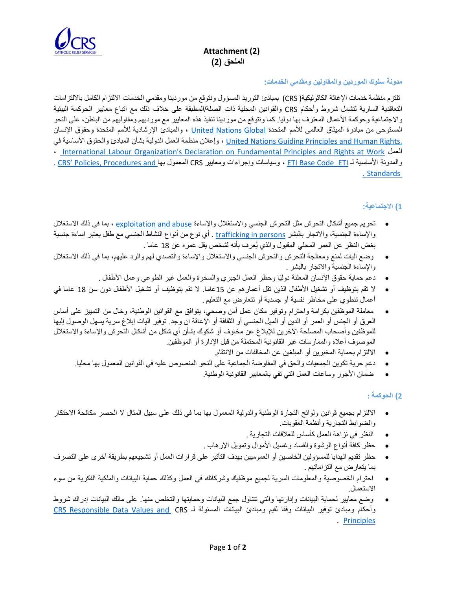

# **Attachment (2) الملحق )2(**

## **مدونة سلوك ا لموردين والمقاولين ومقدمي الخدمات :**

تلتزم منظمة خدمات اإلغاثة الكاثوليكية( CRS (بمبادئ التوريد المسؤول ونتوقع من موردينا ومقدمي الخدمات االلتزام الكامل بااللتزامات التعاقدية السارية لتشمل شروط وأحكام CRS والقوانين المحلية ذات الصلة/المطبقة على خالف ذلك مع اتباع معايير الحوكمة البيئية والاجتماعية وحوكمة الأعمال المعترف بها دوليا. كما ونتوقع من موردينا تنفيذ هذه المعايير مع مورديهم ومقاوليهم من الباطن، على النحو المستوحى من مبادرة الميثاق العالمي للأمم المتحدة <u>United Nations Global</u> ، والمبادئ الإرشادية للأمم المتحدة وحقوق الإنسان ,<u>United Nations Guiding Principles and Human Rights ، وإ</u>علان منظمة العمل الدولية بشأن المبادئ والحقوق الأساسية في ، [International Labour Organization's Declaration on Fundamental Principles and Rights at Work](https://www.ilo.org/declaration/lang--en/index.htm) العمل . [CRS' Policies, Procedures and](https://www.crs.org/about/compliance) بها المعمول CRS ومعايير وإجراءات وسياسات ، [ETI Base Code](https://www.ethicaltrade.org/sites/default/files/shared_resources/ETI%20Base%20Code%20%28English%29.pdf) ETI لـ األساسية والمدونة . [Standards](https://www.crs.org/about/compliance)

# **1( االجتماعية :**

- تحريم جميع أشكال التحرش مثل التحرش الجنسي واالستغالل واإلساءة [abuse and exploitation](https://www.crs.org/sites/default/files/tools-research/safeguarding_policy_.pdf) ، بما في ذلك االستغالل والإساءة الجنسية، والاتجار بالبشر <u>trafficking in persons .</u> أي نوع من أنواع النشاط الجنسي مع طفل يعتبر اساءة جنسية بغض النظر عن العمر المحلي المقبول والذي يُعرف بأنه لشخص يقل عمره عن 18 عاما .
- وضع آليات لمنع ومعالجة التحرش والتحرش الجنسي واالستغالل واإلساءة والتصدي لهم والرد عليهم، بما في ذلك االستغالل واإلساءة الجنسية واالتجار بالبشر .
	- دعم حماية حقوق اإلنسان المعلنة دولًيا وحظر العمل الجبري والسخرة والعمل غير الطوعي وعمل األطفال .
- ال تقم بت وظيف أو تشغيل األطفال الذين تقل أعمارهم عن 15عاما. ال تقم بت وظيف أو تشغيل األطفال دون سن 18 عاما في أعمال تنطوي على مخاطر نفسية أو جسدية أو تتعارض مع التعليم .
- معاملة الموظفين بكرامة واحترام وتوفير مكان عمل آمن وصحي، يتوافق مع القوانين الوطنية، وخال من التمييز على أساس العرق أو الجنس أو العمر أو الدين أو الميل الجنسي أو الثقافة أو اإلعاقة ان وجد. توفير آليات إبالغ سرية يسهل الوصول إليها للموظفين وأصحاب المصلحة اآلخرين لإلبالغ عن مخاوف أو شكوك بشأن أي شكل من أشكال التحرش واإلساءة واالستغالل الموصوف أعاله والممارسات غير القانونية المحتملة من قبل اإلدارة أو الموظفين.
	- االلتزام بحماي ة المخبرين أو المبلغين عن المخالفات من االنتقام.
	- دعم حرية تكوين الجمعيات والحق في المفاوضة الجماعية على النحو ا لمنصوص عليه في القوانين المعمول بها محليا.
		- ضمان األجور وساعات العمل التي تفي ب المعايير القانونية الوطنية.

# **2( الحوكمة :**

- االلتزام بجميع قوانين ولوائح التجارة الوطنية والدولية المعمول بها بما في ذلك على سبيل المثال ال الحصر مكافحة االحتكار والضوابط التجارية وأنظمة العقوبات.
	- النظر في نز اهة العمل كأساس للعلاقات التجارية .
	- حظر كافة أنواع الرشوة والفساد وغسيل األموال وتمويل اإلرهاب .
- حظر تقديم الهدايا للمسؤولين الخاصين أو العموميين بهدف التأثير على قرارات العمل أو تشجيعهم بطريقة أخرى على التصرف بما يتعارض مع التزاماتهم .
- احترام الخصوصية والمعلومات السرية لجميع موظفيك وشركائك في العمل وكذلك حماية البيانات والملكية الفكرية من سوء االستعمال.
- وضع معايير لحماية البيانات وإدارتها والتي تتناول جمع البيانات وحمايتها والتخلص من ها. على مالك البيانات إدراك شروط وأحكام ومبادئ توفير البيانات وفقا لقيم ومبادئ البيانات المسئولة لـ CRS [and Values Data Responsible CRS](https://www.crs.org/about/compliance/crs-responsible-data-values-principles) . [Principles](https://www.crs.org/about/compliance/crs-responsible-data-values-principles)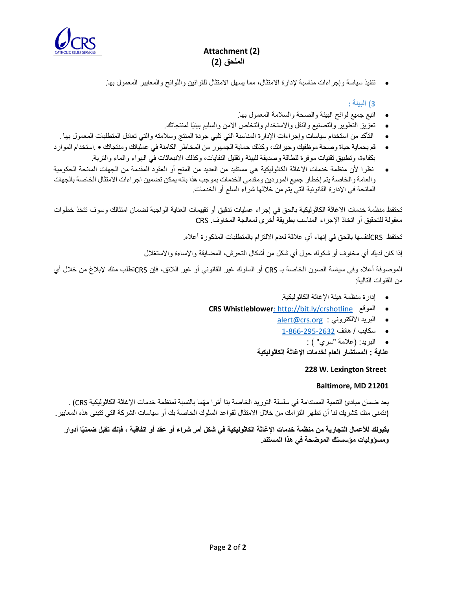

# **Attachment (2) الملحق )2(**

• تنفيذ سياسة وإجراءات مناسبة إلدارة االمتثال، مما يسهل االمتثال للقوانين واللوائح والمعايير المعمول بها.

**3( البيئة :**

- اتبع جميع لوائح البيئة والصحة والسالمة المعمول بها.
- تعزيز التطوير والتصنيع والنقل واالستخدام والتخلص اآلمن والسليم بيئًيا لمنتجاتك.
- التأكد من استخدام سياسات وإجراءات اإلدارة المناسبة التي تلبي جودة المنتج وسالمته والتي تعادل المتطلبات المعمول بها .
- قم بحماية حياة وصحة موظفيك وجيرانك، وكذلك حماية الجمهور من المخاطر الكامنة في عملياتك ومنتجاتك .استخدام الموارد بكفاءة، وتطبيق تقنيات موفرة للطاقة وصديقة للبيئة وتقليل النفايات، وكذلك االنبعاثات في الهواء والماء والتربة.
- نظرا ألن منظمة خدمات االغاثة الكاثوليكية هي مستفيد من العديد من المنح أو العقود المقدمة من الجهات المانحة الحكومية والعامة والخاصة يتم إخطار جميع الموردين ومقدمي الخدمات بموجب هذا بانه يمكن تضمين اجراءات االمتثال الخاصة بالجهات المانحة في اإلدارة القانونية التي يتم من خاللها شراء السلع أو الخدمات .

تحتفظ منظمة خدمات االغاثة الكاثوليكية بالحق في إجراء عمليات تدقيق أو تقييمات العناية الواجبة لضمان امتثالك و سوف تتخذ خطوات معقولة للتحقيق أو اتخاذ اإلجراء المناسب بطريقة أخرى لمعالجة المخاوف . CRS

تحتفظ CRSلنفسها بالحق في إنهاء أي عالقة لعدم االلتزام بالمتطلبات المذكورة أعاله.

إذا كان لديك أي مخاوف أو شكوك حول أي شكل من أشكال التحرش، المضايقة واإلساءة واالستغالل

الموصوفة أعاله وفي سياسة الصون الخاصة بـ CRS أو السلوك غير القانوني أو غير الالئق، فإن CRSتطلب منك إلبالغ من خالل أي من القنوات التالية :

- إدارة منظمة هيئة اإلغاثة الكاثوليكية.
- **CRS Whistleblower**: [http://bit.ly/crshotline](CRS%20Whistleblower:%20http:/bit.ly/crshotline) الموقع•
	- [alert@crs.org](mailto:alert@crs.org) : االلكتروني البريد•
	- سكايب / هاتف 1-866-295-2632
		- البريد: (علامة "سري" ) :

**عناية : المستشار العام لخدمات اإلغاثة الكاثوليكية** 

### **228 W. Lexington Street**

### **Baltimore, MD 21201**

يعد ضمان مبادئ التنمية المستدامة في سلسلة التوريد الخاصة بنا أمّرا مهّما بالنسبة لمنظمة خدمات الإغاثة الكاثوليكية CRS) . (نتمنى منك كشريك لنا أن تظهر التزامك من خالل االمتثال لقواعد السلوك الخاصة بك أو سياسات الشركة التي تتبنى هذه المعايير.

**بقبولك لألعمال التجارية من منظمة خدمات اإلغاثة الكاثوليكية في شكل أمر شراء أو عقد أو اتفاقية ، فإنك تقبل ضمنيًا أدوار ومسؤوليات مؤسستك الموضحة في هذا المستند .**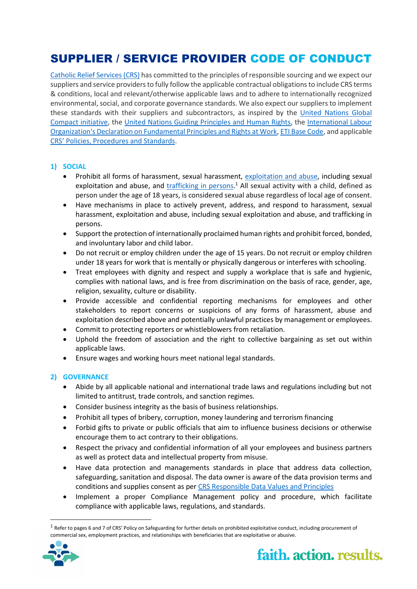# SUPPLIER / SERVICE PROVIDER CODE OF CONDUCT

[Catholic Relief Services \(CRS\)](http://www.crs.org/) has committed to the principles of responsible sourcing and we expect our suppliers and service providers to fully follow the applicable contractual obligations to include CRS terms & conditions, local and relevant/otherwise applicable laws and to adhere to internationally recognized environmental, social, and corporate governance standards. We also expect our suppliers to implement these standards with their suppliers and subcontractors, as inspired by the [United Nations Global](http://www.unglobalcompact.org/)  [Compact initiative,](http://www.unglobalcompact.org/) the [United Nations Guiding Principles and Human Rights,](https://www.unglobalcompact.org/library/2) the [International Labour](https://www.ilo.org/declaration/lang--en/index.htm)  [Organization's Declaration on Fundamental Principles and Rights at Work,](https://www.ilo.org/declaration/lang--en/index.htm) [ETI Base Code,](https://www.ethicaltrade.org/sites/default/files/shared_resources/ETI%20Base%20Code%20%28English%29.pdf) and applicable [CRS' Policies, Procedures and Standards](https://www.crs.org/about/compliance).

### **1) SOCIAL**

- Prohibit all forms of harassment, sexual harassment, [exploitation and abuse,](https://www.crs.org/sites/default/files/tools-research/safeguarding_policy_.pdf) including sexual exploitation and abuse, and *trafficking in persons*.<sup>1</sup> All sexual activity with a child, defined as person under the age of 18 years, is considered sexual abuse regardless of local age of consent.
- Have mechanisms in place to actively prevent, address, and respond to harassment, sexual harassment, exploitation and abuse, including sexual exploitation and abuse, and trafficking in persons.
- Support the protection of internationally proclaimed human rights and prohibit forced, bonded, and involuntary labor and child labor.
- Do not recruit or employ children under the age of 15 years. Do not recruit or employ children under 18 years for work that is mentally or physically dangerous or interferes with schooling.
- Treat employees with dignity and respect and supply a workplace that is safe and hygienic, complies with national laws, and is free from discrimination on the basis of race, gender, age, religion, sexuality, culture or disability.
- Provide accessible and confidential reporting mechanisms for employees and other stakeholders to report concerns or suspicions of any forms of harassment, abuse and exploitation described above and potentially unlawful practices by management or employees.
- Commit to protecting reporters or whistleblowers from retaliation.
- Uphold the freedom of association and the right to collective bargaining as set out within applicable laws.
- Ensure wages and working hours meet national legal standards.

### **2) GOVERNANCE**

- Abide by all applicable national and international trade laws and regulations including but not limited to antitrust, trade controls, and sanction regimes.
- Consider business integrity as the basis of business relationships.
- Prohibit all types of bribery, corruption, money laundering and terrorism financing
- Forbid gifts to private or public officials that aim to influence business decisions or otherwise encourage them to act contrary to their obligations.
- Respect the privacy and confidential information of all your employees and business partners as well as protect data and intellectual property from misuse.
- Have data protection and managements standards in place that address data collection, safeguarding, sanitation and disposal. The data owner is aware of the data provision terms and conditions and supplies consent as per [CRS Responsible Data Values and Principles](https://www.crs.org/about/compliance/crs-responsible-data-values-principles)
- Implement a proper Compliance Management policy and procedure, which facilitate compliance with applicable laws, regulations, and standards.

 $^1$  Refer to pages 6 and 7 of CRS' Policy on Safeguarding for further details on prohibited exploitative conduct, including procurement of commercial sex, employment practices, and relationships with beneficiaries that are exploitative or abusive.